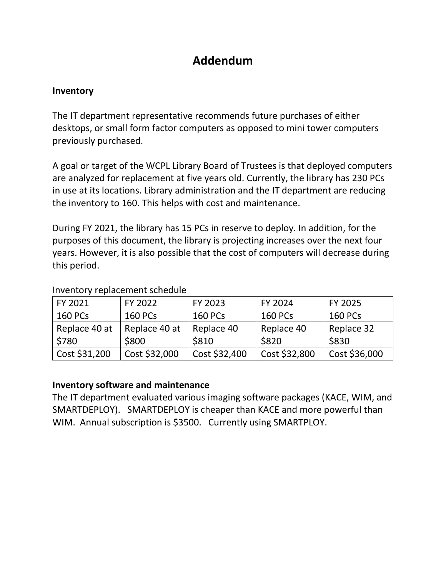# **Addendum**

## **Inventory**

The IT department representative recommends future purchases of either desktops, or small form factor computers as opposed to mini tower computers previously purchased.

A goal or target of the WCPL Library Board of Trustees is that deployed computers are analyzed for replacement at five years old. Currently, the library has 230 PCs in use at its locations. Library administration and the IT department are reducing the inventory to 160. This helps with cost and maintenance.

During FY 2021, the library has 15 PCs in reserve to deploy. In addition, for the purposes of this document, the library is projecting increases over the next four years. However, it is also possible that the cost of computers will decrease during this period.

| FY 2021        | FY 2022        | FY 2023        | FY 2024        | FY 2025        |
|----------------|----------------|----------------|----------------|----------------|
| <b>160 PCs</b> | <b>160 PCs</b> | <b>160 PCs</b> | <b>160 PCs</b> | <b>160 PCs</b> |
| Replace 40 at  | Replace 40 at  | Replace 40     | Replace 40     | Replace 32     |
| \$780          | \$800          | \$810          | \$820          | \$830          |
| Cost \$31,200  | Cost \$32,000  | Cost \$32,400  | Cost \$32,800  | Cost \$36,000  |

#### Inventory replacement schedule

# **Inventory software and maintenance**

The IT department evaluated various imaging software packages (KACE, WIM, and SMARTDEPLOY). SMARTDEPLOY is cheaper than KACE and more powerful than WIM. Annual subscription is \$3500. Currently using SMARTPLOY.